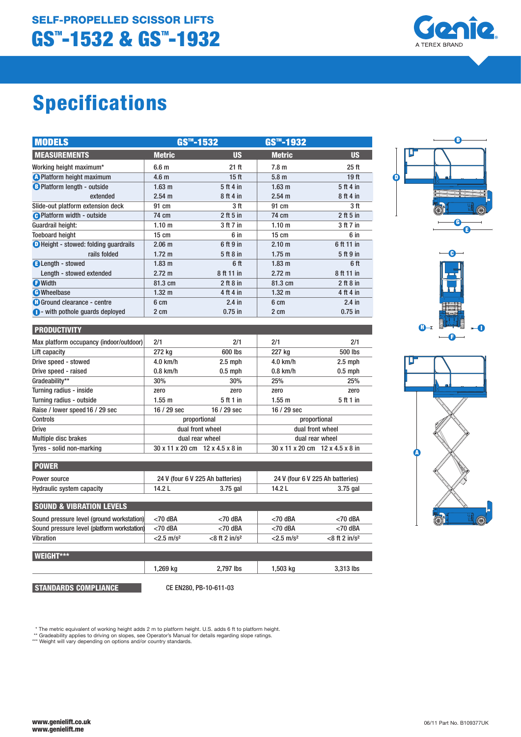

# Specifications

| <b>MODELS</b>                                |                   | GS™-1532         | GS™-1932          |                  |
|----------------------------------------------|-------------------|------------------|-------------------|------------------|
| <b>MEASUREMENTS</b>                          | <b>Metric</b>     | <b>US</b>        | <b>Metric</b>     | <b>US</b>        |
| Working height maximum*                      | 6.6 <sub>m</sub>  | 21 ft            | 7.8 <sub>m</sub>  | 25 <sub>ft</sub> |
| <b>A</b> Platform height maximum             | 4.6 <sub>m</sub>  | 15 <sub>ft</sub> | 5.8 <sub>m</sub>  | 19 <sub>ft</sub> |
| <b>B</b> Platform length - outside           | 1.63 <sub>m</sub> | 5 ft 4 in        | $1.63$ m          | 5 ft 4 in        |
| extended                                     | $2.54 \text{ m}$  | 8 ft 4 in        | $2.54 \text{ m}$  | 8 ft 4 in        |
| Slide-out platform extension deck            | 91 cm             | 3 ft             | 91 cm             | 3 ft             |
| <b>O</b> Platform width - outside            | 74 cm             | $2$ ft 5 in      | 74 cm             | $2$ ft 5 in      |
| Guardrail height:                            | 1.10 m            | 3 ft 7 in        | 1.10 m            | 3 ft 7 in        |
| <b>Toeboard height</b>                       | $15 \text{ cm}$   | 6 in             | $15 \text{ cm}$   | 6 in             |
| <b>D</b> Height - stowed: folding quardrails | 2.06 <sub>m</sub> | 6 ft 9 in        | 2.10 <sub>m</sub> | 6 ft 11 in       |
| rails folded                                 | $1.72 \text{ m}$  | 5 ft 8 in        | $1.75 \text{ m}$  | 5 ft 9 in        |
| <b>B</b> Length - stowed                     | 1.83 m            | 6 ft             | $1.83 \; m$       | 6 ft             |
| Length - stowed extended                     | $2.72 \text{ m}$  | 8 ft 11 in       | $2.72 \text{ m}$  | 8 ft 11 in       |
| <b>D</b> Width                               | 81.3 cm           | $2$ ft 8 in      | 81.3 cm           | $2$ ft 8 in      |
| <b>C</b> Wheelbase                           | 1.32 <sub>m</sub> | 4 ft 4 in        | $1.32 \text{ m}$  | 4 ft 4 in        |
| <b>a</b> Ground clearance - centre           | 6 cm              | $2.4$ in         | 6 cm              | $2.4$ in         |
| • with pothole quards deployed               | 2 cm              | $0.75$ in        | 2 cm              | $0.75$ in        |

| <b>PRODUCTIVITY</b>                     |                                 |             |                                 |           |
|-----------------------------------------|---------------------------------|-------------|---------------------------------|-----------|
| Max platform occupancy (indoor/outdoor) | 2/1                             | 2/1         | 2/1                             | 2/1       |
| Lift capacity                           | 272 kg                          | 600 lbs     | 227 kg                          | 500 lbs   |
| Drive speed - stowed                    | $4.0$ km/h                      | $2.5$ mph   | $4.0$ km/h                      | $2.5$ mph |
| Drive speed - raised                    | $0.8$ km/h                      | $0.5$ mph   | $0.8$ km/h                      | $0.5$ mph |
| Gradeability**                          | 30%                             | 30%         | 25%                             | 25%       |
| Turning radius - inside                 | zero                            | zero        | zero                            | zero      |
| Turning radius - outside                | 1.55 m                          | 5 ft 1 in   | 1.55 m                          | 5 ft 1 in |
| Raise / lower speed 16 / 29 sec         | $16/29$ sec                     | $16/29$ sec | $16/29$ sec                     |           |
| <b>Controls</b>                         | proportional                    |             | proportional                    |           |
| <b>Drive</b>                            | dual front wheel                |             | dual front wheel                |           |
| <b>Multiple disc brakes</b>             | dual rear wheel                 |             | dual rear wheel                 |           |
| Tyres - solid non-marking               | 30 x 11 x 20 cm 12 x 4.5 x 8 in |             | 30 x 11 x 20 cm 12 x 4.5 x 8 in |           |

| <b>POWER</b>              |        |                                  |        |                                  |  |  |
|---------------------------|--------|----------------------------------|--------|----------------------------------|--|--|
| Power source              |        | 24 V (four 6 V 225 Ah batteries) |        | 24 V (four 6 V 225 Ah batteries) |  |  |
| Hydraulic system capacity | 14.2 L | $3.75$ gal                       | 14.2 L | 3.75 gal                         |  |  |

| <b>SOUND &amp; VIBRATION LEVELS</b>         |                          |                              |                          |                             |  |
|---------------------------------------------|--------------------------|------------------------------|--------------------------|-----------------------------|--|
| Sound pressure level (ground workstation)   | $<$ 70 dBA               | $<$ 70 dBA                   | $<$ 70 dBA               | $<$ 70 dBA                  |  |
| Sound pressure level (platform workstation) | $<$ 70 dBA               | $<$ 70 dBA                   | $<$ 70 dBA               | $<$ 70 dBA                  |  |
| Vibration                                   | $<$ 2.5 m/s <sup>2</sup> | $<$ 8 ft 2 in/s <sup>2</sup> | $< 2.5$ m/s <sup>2</sup> | $<8$ ft 2 in/s <sup>2</sup> |  |
|                                             |                          |                              |                          |                             |  |

| <b>WEIGHT***</b> |          |           |            |           |
|------------------|----------|-----------|------------|-----------|
|                  | 1,269 kg | 2,797 lbs | $1,503$ kg | 3,313 lbs |
|                  |          |           |            |           |

STANDARDS COMPLIANCE

CE EN280, PB-10-611-03

\* The metric equivalent of working height adds 2 m to platform height. U.S. adds 6 ft to platform height.<br>\*\* Gradeability applies to driving on slopes, see Operator's Manual for details regarding slope ratings.<br>\*\*\* Weight

 $\overline{\mathbf{0}}$ D  $\dddot{\bullet}$ G E